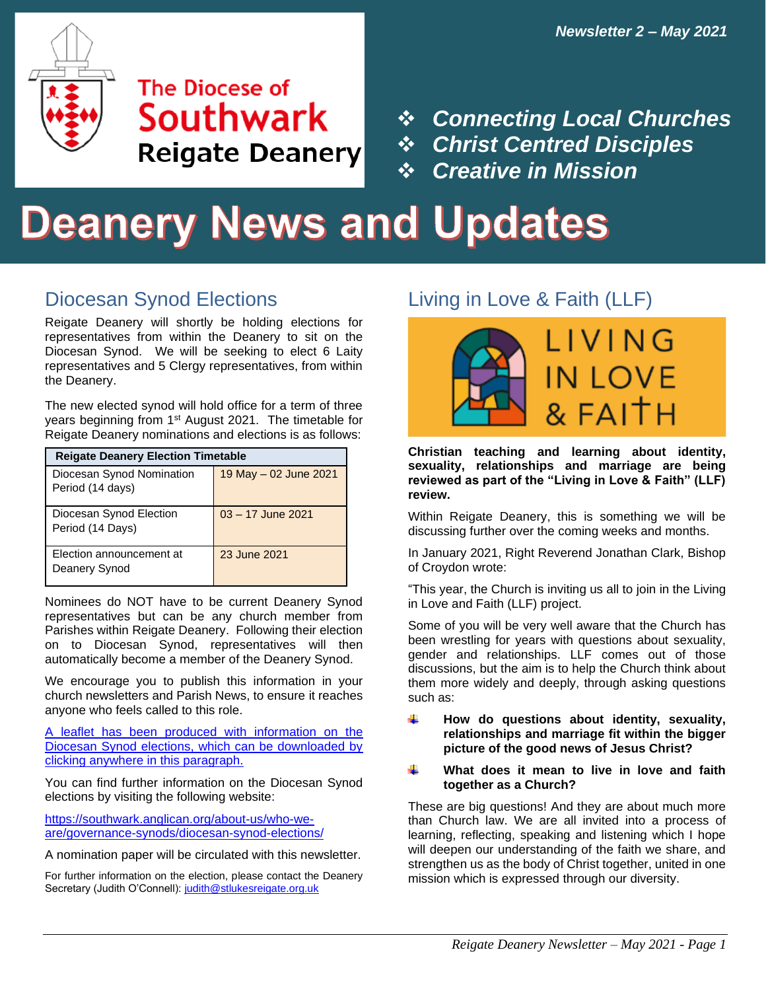

### **Reigate Deanery Election Timetable** Diocesan Synod Nomination Period (14 Southwark **Reigate Deanery**

 $\frac{1}{2}$ **Department of Synoptics Contrad Disc** ❖ *Connecting Local Churches* ❖ *Christ Centred Disciples* ❖ *Creative in Mission*

# **Deanery News and Updates**

Election announcement at Deanery

### Diocesan Synod Elections

Reigate Deanery will shortly be holding elections for representatives from within the Deanery to sit on the Diocesan Synod. We will be seeking to elect 6 Laity representatives and 5 Clergy representatives, from within the Deanery.

The new elected synod will hold office for a term of three years beginning from 1<sup>st</sup> August 2021. The timetable for Reigate Deanery nominations and elections is as follows:

| <b>Reigate Deanery Election Timetable</b>     |                        |
|-----------------------------------------------|------------------------|
| Diocesan Synod Nomination<br>Period (14 days) | 19 May $-02$ June 2021 |
| Diocesan Synod Election<br>Period (14 Days)   | $03 - 17$ June 2021    |
| Election announcement at<br>Deanery Synod     | 23 June 2021           |

Nominees do NOT have to be current Deanery Synod representatives but can be any church member from Parishes within Reigate Deanery. Following their election on to Diocesan Synod, representatives will then automatically become a member of the Deanery Synod.

We encourage you to publish this information in your church newsletters and Parish News, to ensure it reaches anyone who feels called to this role.

[A leaflet has been produced with information on the](https://southwark.anglican.org/wp-content/uploads/2021/03/Diocesan-Synod-Elections-leaflet_V6.pdf)  [Diocesan Synod elections, which can be downloaded by](https://southwark.anglican.org/wp-content/uploads/2021/03/Diocesan-Synod-Elections-leaflet_V6.pdf)  [clicking anywhere in this paragraph.](https://southwark.anglican.org/wp-content/uploads/2021/03/Diocesan-Synod-Elections-leaflet_V6.pdf)

You can find further information on the Diocesan Synod elections by visiting the following website:

[https://southwark.anglican.org/about-us/who-we](https://southwark.anglican.org/about-us/who-we-are/governance-synods/diocesan-synod-elections/)[are/governance-synods/diocesan-synod-elections/](https://southwark.anglican.org/about-us/who-we-are/governance-synods/diocesan-synod-elections/)

A nomination paper will be circulated with this newsletter.

For further information on the election, please contact the Deanery Secretary (Judith O'Connell)[: judith@stlukesreigate.org.uk](mailto:judith@stlukesreigate.org.uk)

### Living in Love & Faith (LLF)



**Christian teaching and learning about identity, sexuality, relationships and marriage are being reviewed as part of the "Living in Love & Faith" (LLF) review.** 

Within Reigate Deanery, this is something we will be discussing further over the coming weeks and months.

In January 2021, Right Reverend Jonathan Clark, Bishop of Croydon wrote:

"This year, the Church is inviting us all to join in the Living in Love and Faith (LLF) project.

Some of you will be very well aware that the Church has been wrestling for years with questions about sexuality, gender and relationships. LLF comes out of those discussions, but the aim is to help the Church think about them more widely and deeply, through asking questions such as:

- 4 **How do questions about identity, sexuality, relationships and marriage fit within the bigger picture of the good news of Jesus Christ?**
- ÷ **What does it mean to live in love and faith together as a Church?**

These are big questions! And they are about much more than Church law. We are all invited into a process of learning, reflecting, speaking and listening which I hope will deepen our understanding of the faith we share, and strengthen us as the body of Christ together, united in one mission which is expressed through our diversity.